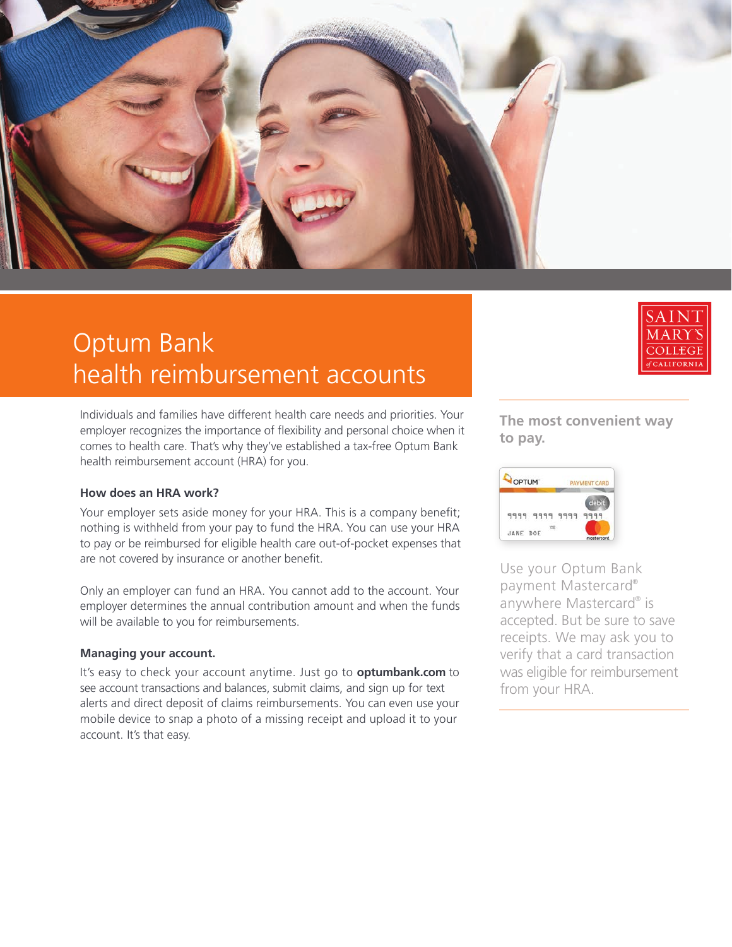

# Optum Bank health reimbursement accounts



Individuals and families have different health care needs and priorities. Your employer recognizes the importance of flexibility and personal choice when it comes to health care. That's why they've established a tax-free Optum Bank health reimbursement account (HRA) for you.

#### **How does an HRA work?**

Your employer sets aside money for your HRA. This is a company benefit; nothing is withheld from your pay to fund the HRA. You can use your HRA to pay or be reimbursed for eligible health care out-of-pocket expenses that are not covered by insurance or another benefit.

Only an employer can fund an HRA. You cannot add to the account. Your employer determines the annual contribution amount and when the funds will be available to you for reimbursements.

### **Managing your account.**

It's easy to check your account anytime. Just go to **optumbank.com** to see account transactions and balances, submit claims, and sign up for text alerts and direct deposit of claims reimbursements. You can even use your mobile device to snap a photo of a missing receipt and upload it to your account. It's that easy.

**The most convenient way to pay.**



Use your Optum Bank payment Mastercard® anywhere Mastercard® is accepted. But be sure to save receipts. We may ask you to verify that a card transaction was eligible for reimbursement from your HRA.